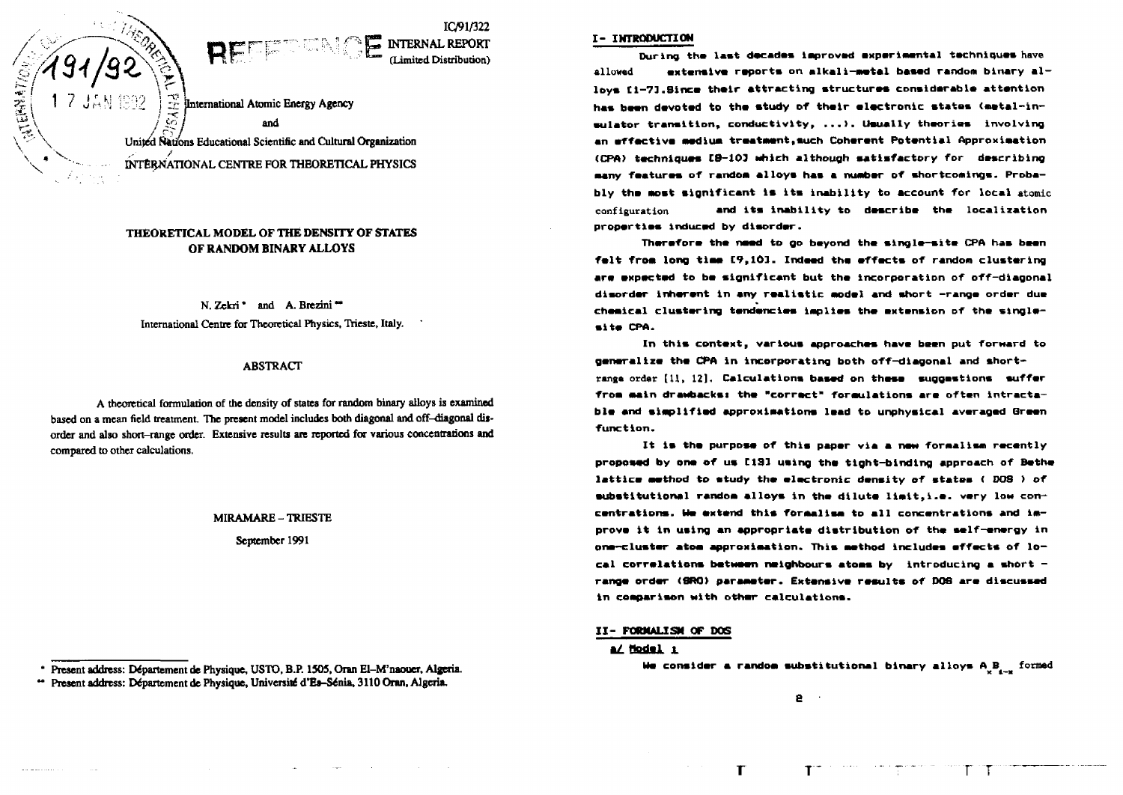

# **THEORETICAL MODEL OF THE DENSITY OF STATES OF RANDOM BINARY ALLOYS**

**N. Zekri \* and A. Brezini \*\* International Centre for Theoretical Physics, Trieste, Italy.**

### **ABSTRACT**

**A theoretical formulation of the density of states for random binary alloys is examined based on a mean field treatment. The present model includes both diagonal and off-diagonal disorder and also short-range order. Extensive results are reported for various concentrations and compared to other calculations.**

### **MIRAMARE - TRIESTE**

**September 1991**

**\* Present address: Departement de Physique, USTO, B.P. 1505, Oran El-M'naouer, Algeria.**

**" Present address: Departement de Physique, University d'Es-Senia, 3110 Oran, Algeria.**

### **I- IWTKOPUCTION**

**IC/91/322**

**During the last decades improved experimental techniques have allowed extensive reports on alkali-metal based random binary alloys £1-73.Since their attracting structures considerable attention has been devoted to the study of their electronic states (metal-insulator transition, conductivity, ...) . Usually theories involving an effective medium treatment,such Coherent Potential Approximation (CPA) techniques CB-1O3 which although satisfactory for describing many features of random alloys has a number of shortcomings. Probably the most significant is its inability to account for local atomic configuration \*nd its inability to describe the localization properties Induced by disorder.**

**Therefore the need to go beyond the single-site CPA has been** felt from long time [9,101. Indeed the effects of random clustering **are expected to be significant but the incorporation of off-diagonal disorder inherent in any realistic model and short -range order due chemical clustering tendencies Implies the extension of the singlesite CPA.**

**In this context, various approaches have been put forward to generalize the CPA in incorporating both off-diagonal and shortrange order [11, 12]. Calculations based on these suggestions suffer from main drawbacks! the "correct" formulations are often intractable and simplified approximations lead to unphysical averaged Green function.**

**It is the purpose of this paper via a new formalism recently proposed by one of us C131 using the tight-binding approach of Bethe lattice method to study the electronic density of states < DOS ) of substitutional random alloys in the dilute limit,i.e. very low concentrations. He extend this formalism to all concentrations and improve it in using an appropriate distribution of the self-energy in one-cluster atom approximation. This method Includes effects of local correlations between neighbours atoms by Introducing a short range order <8RO> parameter. Extensive results of DOS are discussed in comparison with other calculations.**

### **II- FORMALISM OF DOS**

### a/ Hodel 1

We consider a random substitutional binary alloys A<sub>.</sub>B<sub>.</sub> formed

 $\mathbf{r}$  T<sub>*i*</sub>

**8 '**

 $\mathbf{r}$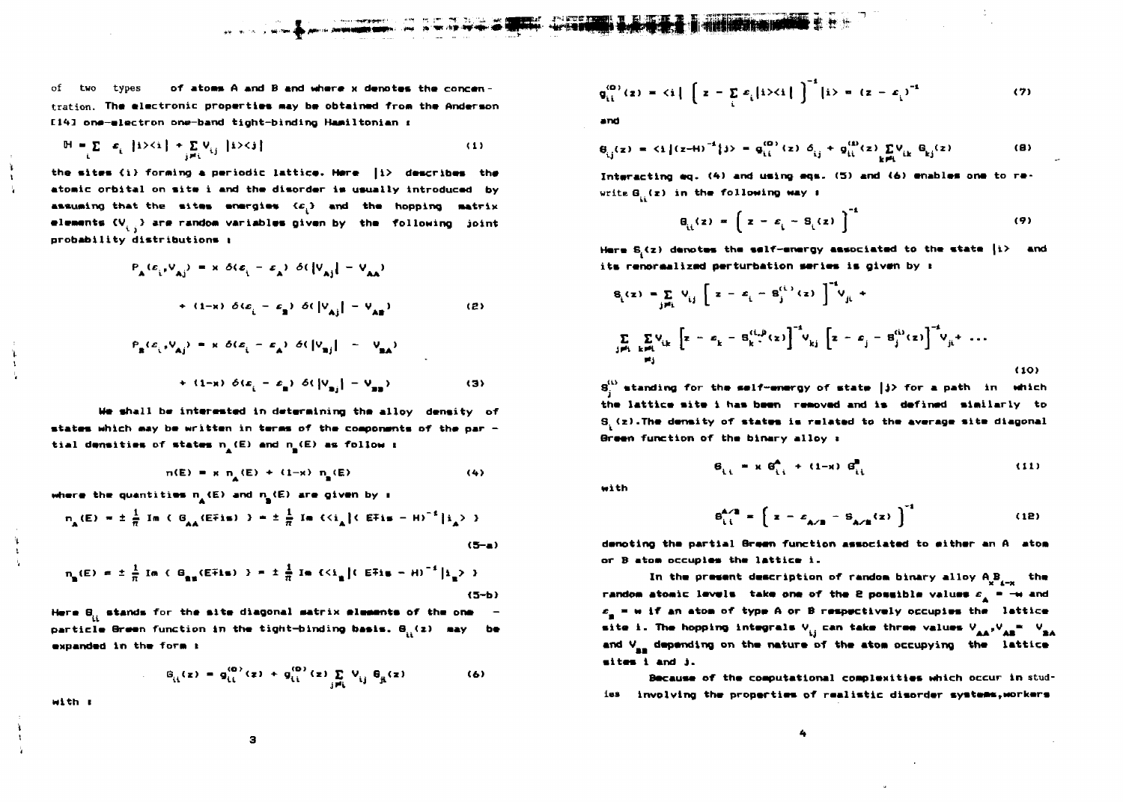**JAN NORTH THE REAL TO** 

of two types of atoms A and B and where x denotes the concen**tration. The electronic properties may be obtained from the Anderson one-elactron orw-band tight-binding Hamiltonian i**

$$
\mathbb{H} = \sum_{i} \mathbb{E}_{i} \left[ 1 \times \mathbb{I} \right] + \sum_{j \neq i} \mathbb{V}_{ij} \left[ 1 \times \mathbb{I} \right]
$$
 (1)

**the sites <i> forming a periodic lattice. Here |i> describes the atomic orbital on mite i and the disorder is usually introduced by assuming that the sites energies lc/> \*nd the hopping matrix** elements  $\{V_{ij}\}$  are random variables given by the following joint **probability distributions i**

$$
P_{A}(c_{i}, V_{Aj}) = x \delta(c_{i} - c_{A}) \delta(\{V_{Aj}\} - V_{AA})
$$
  
+ (1-x) \delta(c\_{i} - c\_{A}) \delta(\{V\_{Aj}\} - V\_{AB}) (2)  

$$
P_{B}(c_{i}, V_{Aj}) = x \delta(c_{i} - c_{A}) \delta(\{V_{Bj}\} - V_{BA})
$$

+ (1-x) 
$$
\delta(\epsilon_i - \epsilon_n)
$$
  $\delta(\vert v_{nj}\vert - v_{nn})$  (3)

**Ma shall be interested In determining the alloy density of states which may be written in terms of the components of the par**  tial densities of states n<sub>a</sub>(E) and n<sub>a</sub>(E) as follow **i** 

$$
n(E) = x n_{A}(E) + (1-x) n_{B}(E)
$$
 (4)

where the quantities  $n_A(E)$  and  $n_B(E)$  are given by  $\bf{r}$ 

$$
n_A(E) = \pm \frac{1}{\pi} Im \{ G_{AA} (E \mp i \pi) \} = \pm \frac{1}{\pi} Im \{ \langle i_A | (E \mp i \pi - H)^{-1} | i_A \rangle \}
$$
\n(5-a)

$$
n_{\underline{n}}(E) = \pm \frac{1}{\pi} \text{ Im } \{ G_{\underline{n}\underline{n}}(E^{\pm}i\pm 1) \} = \pm \frac{1}{\pi} \text{ Im } \{C_i^i_{\underline{n}} \} (E^{\pm}i\underline{n} - H)^{-1} | i_{\underline{n}} \} \quad (5-b)
$$

Here G<sub>,</sub> stands for the site diagonal matrix elements of the one particle Breen function in the tight-binding basis.  $B_{ii}(z)$  may be **expanded in the form I**

$$
G_{i1}(z) = g_{i1}^{(0)}(z) + g_{i1}^{(0)}(z) \sum_{j \neq i} V_{ij} G_{ji}(z)
$$
 (6)

**with •**

$$
q_{11}^{(0)}(z) = \langle i | \left[ z - \sum_{i} \epsilon_{i} | i \rangle \langle i | \right]^{-1} | i \rangle = (z - \epsilon_{i})^{-1}
$$
 (7)

**and**

$$
\mathbf{g}_{ij}(z) = \langle 1 | (z - H)^{-1} | 1 \rangle = \mathbf{g}_{11}^{(0)}(z) \delta_{ij} + \mathbf{g}_{11}^{(1)}(z) \sum_{k \neq 1} V_{ik} \delta_{kj}(z) \tag{B}
$$

Interacting eq. (4) and using eqs. (5) and (6) enables one to re**write G..(z> in the following way I**

$$
\mathbf{\theta}_{ii}(z) = \left(z - \varepsilon_i - \mathbf{S}_i(z)\right)^{-1} \tag{9}
$$

**Here S^z) denotes the self-energy associated to the state |i> and its renormalized perturbation series is given by •**

$$
S_{i}(z) = \sum_{j \neq i} V_{ij} \left[ z - \varepsilon_{i} - S_{j}^{(i)}(z) \right]^{-4} V_{ji} +
$$
  

$$
\sum_{j \neq i} \sum_{k \neq i} V_{ik} \left[ z - \varepsilon_{k} - S_{k}^{(i)}(z) \right]^{-4} V_{kj} \left[ z - \varepsilon_{j} - S_{j}^{(i)}(z) \right]^{-4} V_{ji} + \dots
$$
  

$$
\sum_{j \neq j} \sum_{k \neq i} V_{ik} \left[ z - \varepsilon_{k} - S_{k}^{(i)}(z) \right]^{-4} V_{kj} \left[ z - \varepsilon_{j} - S_{j}^{(i)}(z) \right]^{-4} V_{ji} + \dots
$$
 (10)

**8 standing for the self-energy of state \i> for a path in which the lattice site 1 has bean removed and is defined similarly to S. (z).The density of states is related to the average site diagonal Green function of the binary alloy i**

$$
B_{i,i} = x B_{i,i}^{A} + (1-x) B_{i,i}^{B}
$$
 (11)

**with**

$$
B_{i,i}^{A/B} = \left[ z - z_{A/B} - S_{A/B}(z) \right]^{-1}
$$
 (12)

**denoting the partial Sreen function associated to either an A or B atom occupies the lattice i.**

In the present description of random binary alloy A<sub>,B<sub>in</sub> the</sub> random atomic levels take one of the 2 possible values  $\mathbf{z}_n = -\mathbf{w}$  and **c » w If an atom of type A or B respectively occupies the lattice** site i. The hopping integrals  $V_{\alpha}$  can take three values  $V_{\alpha\beta}$ ,  $V_{\alpha\beta} = -V_{\alpha\beta}$ and V<sub>na</sub> depending on the nature of the atom occupying the lattice **sites i and j.**

**Because of the computational complexities which occur in studies involving the properties of realistic disorder systems,workers**

з.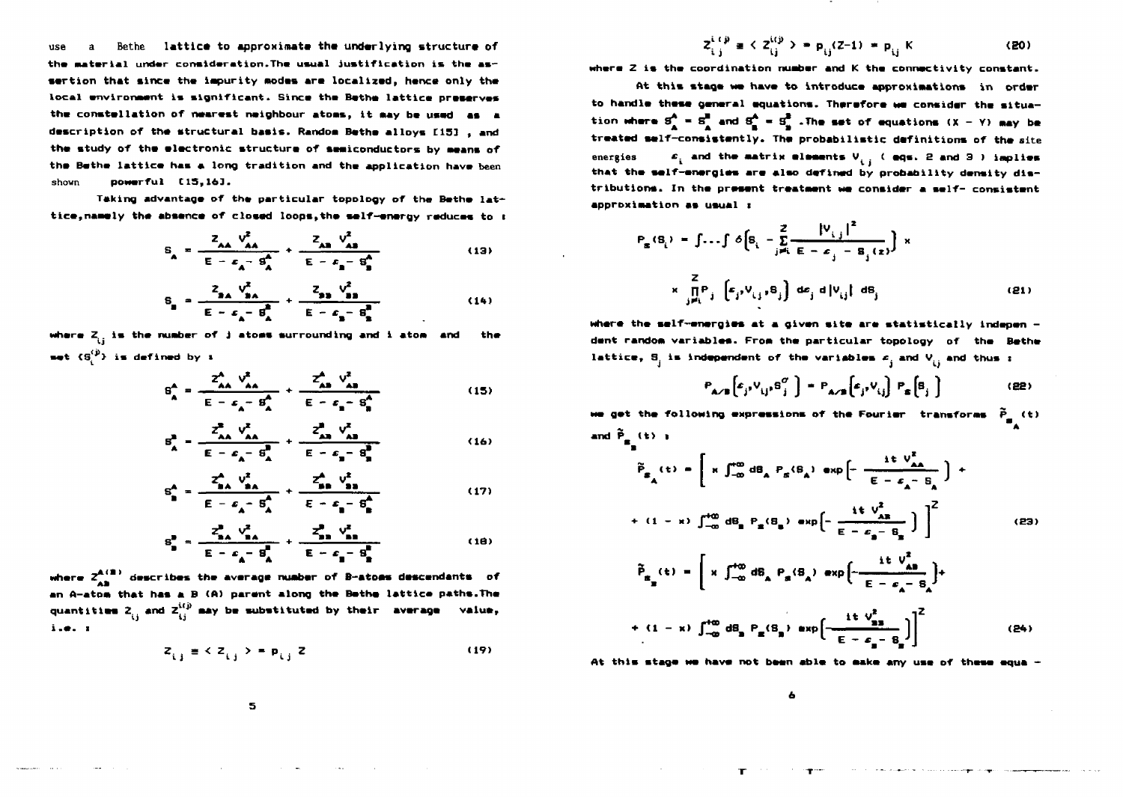Bethe lattice to approximate the underlying structure of use the material under consideration. The usual justification is the assertion that since the impurity modes are localized, hence only the local environment is significant. Since the Bethe lattice preserves the constellation of nearest neighbour atoms, it may be used as a description of the structural basis. Random Bethe alloys [15] . and the study of the electronic structure of semiconductors by means of the Bethe lattice has a long tradition and the application have been nowerful [15.16]. shown

Taking advantage of the particular topology of the Bethe lattice, namely the absence of closed loops, the self-energy reduces to :

$$
S_A = \frac{Z_{AA} V_{AA}^2}{E - \epsilon_A - S_A^4} + \frac{Z_{AB} V_{AB}^2}{E - \epsilon_B - S_B^4}
$$
 (13)

$$
S_{B} = \frac{Z_{BA} V_{BA}^{2}}{E - \epsilon_{A} - B_{A}^{B}} + \frac{Z_{BB} V_{BB}^{2}}{E - \epsilon_{B} - B_{B}^{B}}
$$
(14)

where  $Z_{ij}$  is the number of  $j$  atoms surrounding and i atom and the wet  $(S^{(i)}_1)$  is defined by  $i$ 

$$
B_A^A = \frac{Z_{AA}^A V_{AA}^2}{E - \varepsilon_A - B_A^A} + \frac{Z_{AB}^A V_{AB}^2}{E - \varepsilon_B - B_B^A}
$$
 (15)

$$
S_A^B = \frac{Z_{AA}^B V_{AA}^Z}{E - \epsilon_A - S_A^B} + \frac{Z_{AA}^B V_{AB}^Z}{E - \epsilon_B - S_B^B}
$$
 (16)

$$
S_{B}^{A} = \frac{Z_{BA}^{A} V_{BA}^{2}}{E - \varepsilon_{A} - S_{A}^{A}} + \frac{Z_{BB}^{A} V_{BB}^{2}}{E - \varepsilon_{B} - S_{B}^{A}}
$$
(17)

$$
S_{B}^{B} = \frac{Z_{BA}^{B} V_{BA}^{2}}{E - \epsilon_{A} - S_{A}^{B}} + \frac{Z_{BA}^{B} V_{BA}^{2}}{E - \epsilon_{B} - S_{B}^{B}}
$$
(18)

where  $Z_{\lambda n}^{A(B)}$  describes the average number of B-atoms descendants of an A-atom that has a B (A) parent along the Bethe lattice paths.The quantities  $2_{ij}$  and  $2_{ij}^{i(j)}$  may be substituted by their average value, i.e. i

$$
Z_{ij} = \langle Z_{ij} \rangle = p_{ij} Z \tag{19}
$$

$$
Z_{i,j}^{i,(j)} = \langle Z_{i,j}^{i(j)} \rangle = p_{ij}(Z-1) + p_{ij} K
$$
 (20)

where  $2$  is the coordination number and  $K$  the connectivity constant.

At this stage we have to introduce approximations in order to handle these general equations. Therefore we consider the situation where  $S_n^A = S_n^B$  and  $S_n^A = S_n^B$  . The set of equations  $(X - Y)$  may be treated self-consistently. The probabilistic definitions of the site  $\mathcal{L}_i$  and the matrix elements  $V_{ij}$  ( eqs. 2 and 3 ) implies energies that the self-energies are also defined by probability density distributions. In the present treatment we consider a self- consistent approximation as usual :

$$
P_{g}(S_{i}) = \int ... \int \delta \left[ S_{i} - \sum_{j=1}^{Z} \frac{|V_{i,j}|^{2}}{E - \epsilon_{j} - S_{j}(z)} \right] x
$$
  

$$
\times \prod_{j=1}^{Z} P_{j} \left[ \epsilon_{j} v_{i,j} S_{j} \right] d\epsilon_{j} d|V_{ij}| dS_{j}
$$
 (21)

where the self-energies at a given site are statistically indepen  $$ dent random variables. From the particular topology of the Bethe lattice, S<sub>i</sub> is independent of the variables  $a_i$  and V<sub>ii</sub> and thus :

$$
P_{A/B}\left[\varepsilon_{j}, V_{ij}, S_{j}^{C}\right] = P_{A/B}\left[\varepsilon_{j}, V_{ij}\right] P_{B}\left[S_{j}\right]
$$
 (22)

we get the following expressions of the Fourier transforms  $\tilde{P}_{\underline{a}}$  (t) and  $\tilde{P}_{\underline{a}}$  (t)  $\overline{1}$ 

$$
\tilde{P}_{g_A}(t) = \left[ x \int_{-\infty}^{\infty} d\theta_A P_g(\theta_A) \exp\left[-\frac{i t V_{AA}^2}{E - \epsilon_A - \theta_A}\right] + \frac{i t V_{AA}^2}{E - \epsilon_A - \theta_A}\right]
$$
\n
$$
+ (1 - x) \int_{-\infty}^{\infty} d\theta_B P_g(\theta_B) \exp\left[-\frac{i t V_{AB}^2}{E - \epsilon_B - \theta_B}\right] \Bigg]^2 \qquad (23)
$$
\n
$$
\tilde{P}_{g_B}(t) = \left[ x \int_{-\infty}^{\infty} d\theta_A P_g(\theta_A) \exp\left[-\frac{i t V_{AB}^2}{E - \epsilon_A - \theta_A}\right] + \frac{i t V_{AB}^2}{E - \epsilon_A - \theta_A}\right]
$$
\n
$$
+ (1 - x) \int_{-\infty}^{\infty} d\theta_B P_g(\theta_B) \exp\left[-\frac{i t V_{AB}^2}{E - \epsilon_A - \theta_A}\right] \Bigg]^2 \qquad (24)
$$

At this stage we have not been able to eake any use of these equa  $\pm$ 

ь

5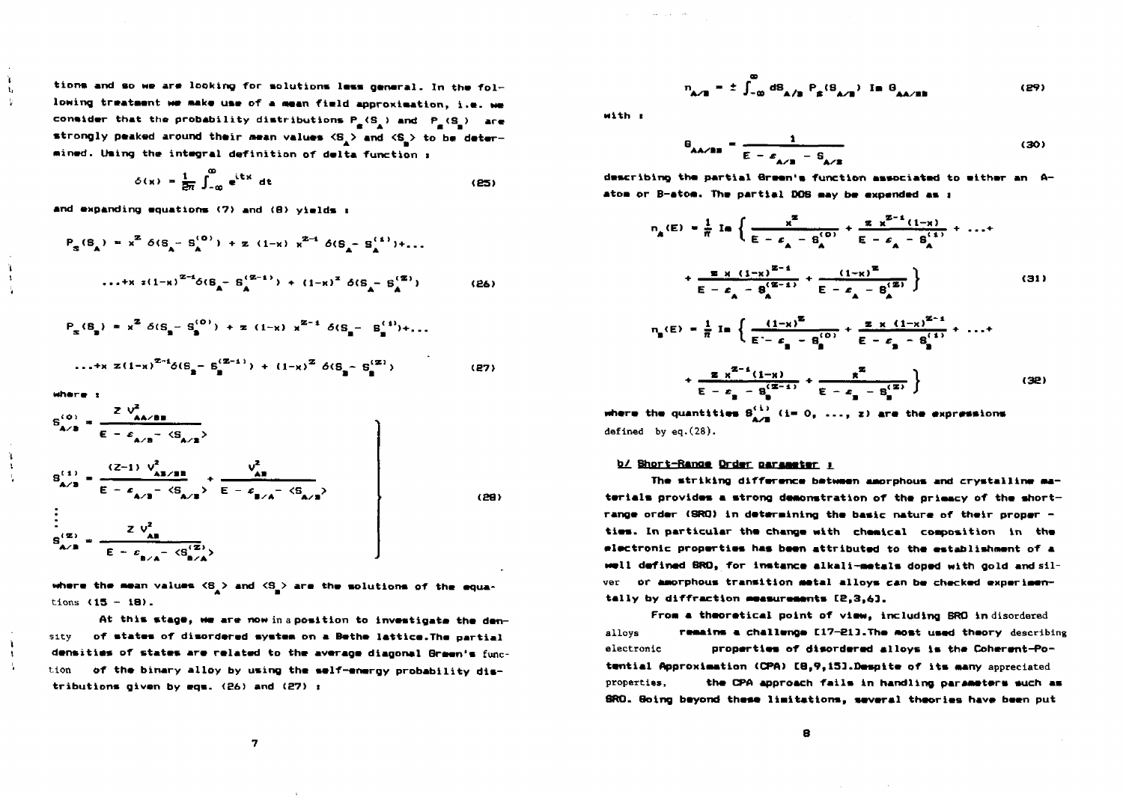tions and so we are looking for solutions less general. In the following treatment we make use of a mean field approximation, i.e. we consider that the probability distributions  $P_a(S_a)$  and  $P_a(S_a)$  are strongly peaked around their mean values  $\langle S_{\underline{a}} \rangle$  and  $\langle S_{\underline{a}} \rangle$  to be determined. Using the integral definition of delta function :

$$
\delta(x) = \frac{1}{2\pi} \int_{-\infty}^{\infty} e^{ikx} dt
$$
 (25)

and expanding equations  $(7)$  and  $(8)$  yields :

$$
P_{s}(S_{A}) = x^{2} \delta(S_{A} - S_{A}^{(0)}) + z (1-x) x^{2-1} \delta(S_{A} - S_{A}^{(1)}) + ...
$$
  
...+x  $z(1-x)^{2-1} \delta(S_{A} - S_{A}^{(2-1)}) + (1-x)^{2} \delta(S_{A} - S_{A}^{(2)})$  (26)

$$
P_{\underline{x}}(S_{\underline{a}}) = x^{2} \delta(S_{\underline{a}} - S_{\underline{a}}^{(0)}) + z (1-x) x^{2-4} \delta(S_{\underline{a}} - S_{\underline{a}}^{(4)}) + ...
$$
  
...+x z(1-x)<sup>2-4</sup>  $\delta(S_{\underline{a}} - S_{\underline{a}}^{(2-4)}) + (1-x)^{2} \delta(S_{\underline{a}} - S_{\underline{a}}^{(2)})$  (27)

where :

 $\mathbf{u}$ 

 $\mathbf{h}$  $\mathcal{A}_2$ 

$$
S_{A/B}^{(0)} = \frac{Z V_{AA/BB}^2}{E - \varepsilon_{A/B} - \langle S_{A/B}^2 \rangle}
$$
  
\n
$$
S_{A/B}^{(1)} = \frac{(Z-1) V_{AB/BB}^2}{E - \varepsilon_{A/B} - \langle S_{A/B}^2 \rangle} + \frac{V_{AB}^2}{E - \varepsilon_{B/A} - \langle S_{A/B}^2 \rangle}
$$
  
\n
$$
\vdots
$$
  
\n
$$
S_{A/B}^{(2)} = \frac{Z V_{AB}^2}{E - \varepsilon_{B/A} - \langle S_{B/A}^2 \rangle}
$$
  
\n(28)

where the mean values  $\langle S_{\mathbf{A}} \rangle$  and  $\langle S_{\mathbf{B}} \rangle$  are the solutions of the equations  $(15 - 18)$ .

At this stage, we are now in a position to investigate the denof states of disordered system on a Bethe lattice. The partial sity densities of states are related to the average diagonal Green's funcof the binary alloy by using the self-energy probability distion tributions given by eqs.  $(26)$  and  $(27)$  :

$$
n_{A/B} = \pm \int_{-\infty}^{\infty} dS_{A/B} P_g(S_{A/B}) \text{ In } G_{AA/BB}
$$
 (29)

with r

$$
\mathbf{G}_{\mathbf{AA}/\mathbf{B}} = \frac{1}{E - \varepsilon_{\mathbf{A}/\mathbf{B}} - \mathbf{S}_{\mathbf{A}/\mathbf{B}}} \tag{30}
$$

describing the partial Green's function associated to either an Aatom or B-atom. The partial DOS may be expended as :

$$
n_{A}(E) = \frac{1}{\pi} \operatorname{Im} \left\{ \frac{x^{E}}{E - \varepsilon_{A} - B_{A}^{(0)}} + \frac{x}{E - \varepsilon_{A} - B_{A}^{(1)}} + \dots + \frac{x}{E - \varepsilon_{A} - B_{A}^{(1)}} \right\}
$$
\n
$$
+ \frac{x \times (1 - x)^{E - 1}}{E - \varepsilon_{A} - B_{A}^{(E - 1)}} + \frac{(1 - x)^{E}}{E - \varepsilon_{A} - B_{A}^{(E)}} \right\}
$$
\n(31)\n
$$
n_{B}(E) = \frac{1}{\pi} \operatorname{Im} \left\{ \frac{(1 - x)^{E}}{E - \varepsilon_{B} - B_{B}^{(0)}} + \frac{x \times (1 - x)^{E - 1}}{E - \varepsilon_{B} - B_{B}^{(1)}} + \dots + \frac{x}{E - \varepsilon_{B} - B_{B}^{(1)}} \right\}
$$
\n
$$
+ \frac{x}{E - \varepsilon_{B} - B_{B}^{(E - 1)}} + \frac{x^{E}}{E - \varepsilon_{B} - B_{B}^{(2)}} \right\}
$$
\n(32)

where the quantities  $\mathbf{S}_{\mathbf{A}/\mathbf{B}}^{(1)}$  (i= 0, ..., z) are the expressions  $defined$  by  $ea.(28)$ .

### b/ Short-Range Order parameter 1

The striking difference batwaen amorphous and crystalline materials provides a strong demonstration of the primacy of the shortrange order (SRO) in determining the basic nature of their proper ties. In particular the change with chemical composition in the electronic properties has been attributed to the establishment of a well defined BRO, for instance alkali-metals doped with gold and silver or amorphous transition matal alloys can be checked experimentally by diffraction measurements [2,3,6].

From a theoretical point of view, including SRO indisordered alloys remains a challenge [17-21]. The most used theory describing electronic properties of disordered alloys is the Coherent-Potential Approximation (CPA) [8,9,15]. Despite of its many appreciated properties. the CPA approach fails in handling parameters such as SRO. Going beyond these limitations, several theories have been put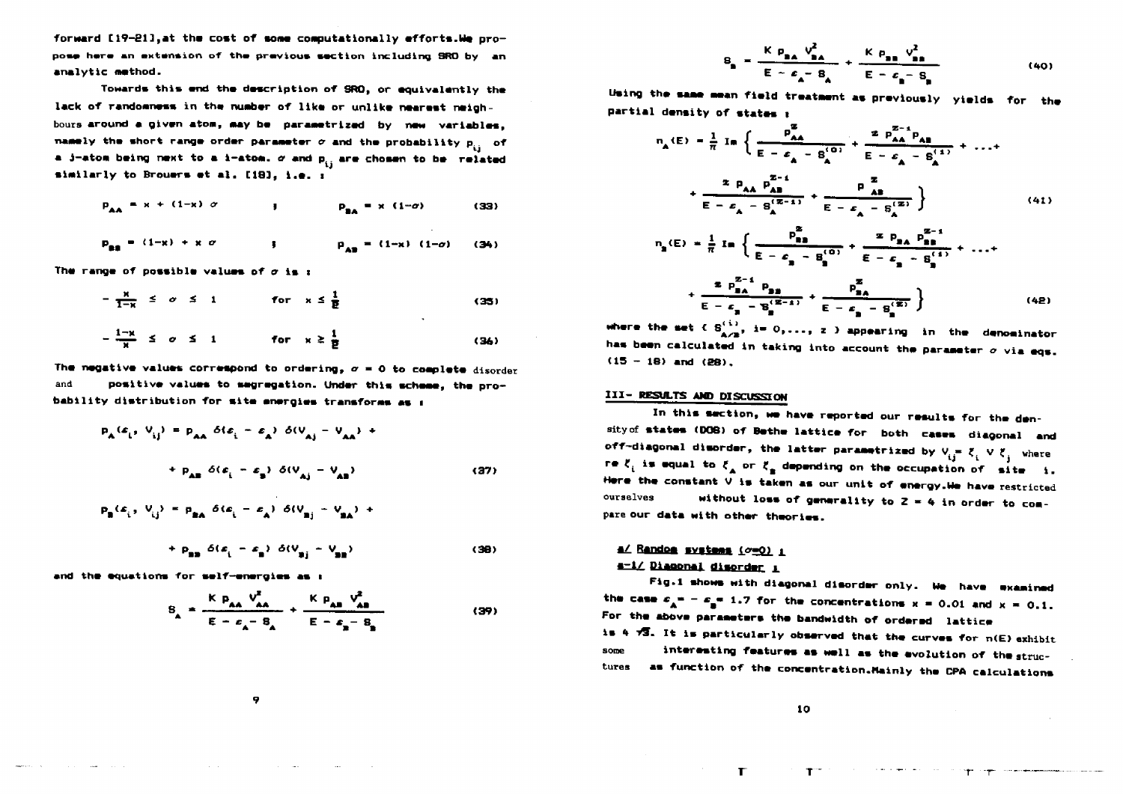forward [19-21], at the cost of some computationally efforts. We propose here an extension of the previous section including SRO by an **analytic method.**

**Towards this end the description of SRO, or equivalantly the lack of randomness in the number of like or unlike nearest neigh bours around a given atom, may be parametrized by new variables, nasaly the short range order parameter o and the probability of \_ a j-atoa being next to a i-atom. a and p^ are chosen to be related similarly to Brouers et al. CIS], i.e. i**

$$
P_{AA} = x + (1-x) \circ \qquad 1 \qquad P_{BA} = x (1-\sigma) \qquad (33)
$$

$$
p_{BB} = (1-x) + x \sigma
$$
   
  $y = p_{AB} = (1-x) (1-\sigma)$  (34)

**The range of possible values of o is >**

$$
-\frac{x}{1-x} \leq \sigma \leq 1 \qquad \text{for } x \leq \frac{1}{2} \tag{35}
$$

$$
-\frac{1-x}{x} \leq \sigma \leq 1 \qquad \text{for } x \geq \frac{1}{2} \qquad (36)
$$

The negative values correspond to ordering,  $\alpha = 0$  to complete disorder **and positive values to segregation. Under this scheme, the probability distribution for site energies transforms as I**

$$
P_{A}(E_{i}, V_{ij}) = p_{AA} \delta(E_{i} - E_{A}) \delta(V_{Aj} - V_{AA}) +
$$
  
+ 
$$
p_{AB} \delta(E_{i} - E_{B}) \delta(V_{Aj} - V_{AB})
$$
 (37)

$$
p_{\mathbf{m}}(s_{i}, V_{ij}) = p_{\mathbf{m}\mathbf{A}} \delta(s_{i} - s_{\mathbf{A}}) \delta(V_{\mathbf{m}j} - V_{\mathbf{m}\mathbf{A}}) +
$$

9

$$
+ p_{\mathbf{m}} \delta(\varepsilon_{\mathbf{i}} - \varepsilon_{\mathbf{m}}) \delta(V_{\mathbf{m}\mathbf{j}} - V_{\mathbf{m}\mathbf{m}}) \tag{38}
$$

and the equations for self-energies as  $\boldsymbol{\iota}$ 

$$
S_A = \frac{K P_{AA} V_{AA}^2}{E - \epsilon_A - S_A} + \frac{K P_{AB} V_{AB}^2}{E - \epsilon_B - S_B}
$$
 (39)

$$
B_{n} = \frac{K p_{nA} V_{nA}^{2}}{E - \epsilon_{A} - B_{n}} + \frac{K p_{nA} V_{nA}^{2}}{E - \epsilon_{n} - B_{n}}
$$
(40)

**Using the same mean field treatment as previously yields for the partial density of states i**

$$
n_{A}(E) = \frac{1}{\pi} \operatorname{Im} \left\{ \frac{p_{AA}^{E}}{E - \varepsilon_{A} - B_{A}^{(0)}} + \frac{z p_{AA}^{E-1} p_{AB}}{E - \varepsilon_{A} - B_{A}^{(1)}} + \dots + \frac{z p_{AA} p_{AB}^{E-1}}{E - \varepsilon_{A} - B_{A}^{(E-1)}} + \frac{z p_{AB}}{E - \varepsilon_{A} - B_{A}^{(E-1)}} \right\}
$$
\n
$$
n_{B}(E) = \frac{1}{\pi} \operatorname{Im} \left\{ \frac{p_{BB}^{E}}{E - \varepsilon_{B} - B_{B}^{(0)}} + \frac{z p_{BA} p_{BB}^{E-1}}{E - \varepsilon_{B} - B_{B}^{(1)}} + \dots + \frac{z p_{BA} p_{BA}^{E-1}}{E - \varepsilon_{B} - B_{B}^{(1)}} + \dots + \frac{z p_{BA} p_{AB}^{E-1}}{E - \varepsilon_{B} - B_{B}^{(1)}} + \dots + \frac{z p_{BA} p_{AB}^{E-1}}{E - \varepsilon_{B} - B_{B}^{(1)}} + \dots + \frac{z p_{BA} p_{AB}^{E-1}}{E - \varepsilon_{B} - B_{B}^{(1)}} \right\}
$$

$$
\frac{\mathbf{E} - \mathbf{F}_{\mathbf{B}\mathbf{A}} - \mathbf{P}_{\mathbf{B}\mathbf{B}}}{\mathbf{E} - \mathbf{E}_{\mathbf{B}} - \mathbf{B}_{\mathbf{B}}^{(\mathbf{E} - 1)}} + \frac{\mathbf{P}_{\mathbf{B}\mathbf{A}}}{\mathbf{E} - \mathbf{E}_{\mathbf{B}} - \mathbf{B}_{\mathbf{B}}^{(\mathbf{E})}}\tag{42}
$$

**, i- O, , where the set t S^^, i- O, , z > appearing in the denominator has been calculated in taking into account the parameter o via eqs.**  $(15 - 18)$  and  $(28)$ .

# **Ill- RESULTS AMD DISCUSSION**

 $\ddot{\bullet}$ 

**In this section, we have reported our results for the density of states (DOB) of Bethe lattice for both cases diagonal and off-diagonal disorder, the latter parametrized by**  $V_{ij} = \xi_i \vee \xi_j$  **where**  $\mathbf{r} \in \mathcal{K}_i$  is equal to  $\mathcal{K}_\mathbf{A}$  or  $\mathcal{K}_\mathbf{B}$  depending on the occupation of site i. **Here the constant V is taken as our unit of energy. We have restricted**<br>ourselves without loss of conservation is 3 = 4 × 1 = 1 = 4 × 2 = 4 × 2 = 1 = 4 × 2 = 4 × 2 = 4 × 2 = 4 × 2 = 4 × 2 = 4 × 2 = 4 × 2 = 4 × 2 = 4 × 2 = without loss of generality to Z = 4 in order to com**pare our data with other theories.**

# **a/ Random systems <g-Q) j.**

# **a-t/ Diananaj disorder i.**

**Fig.l shows with diagonal disorder only. We have examined** the case  $\varepsilon_{\text{A}}^* = \varepsilon_{\text{B}}^*$  1.7 for the concentrations  $x = 0.01$  and  $x = 0.1$ . **For the above parameters the bandwidth of ordered lattice is 4 15. It is particularly observed that the curves for n(E) exhibit some interesting features as well as the evolution of the struc**tures **as function of the concentration. Mainly the CPA calculations** 

in the state of the state of the state of the state of the state of the state of the state of the state of the

 $\mathbf{r}$  .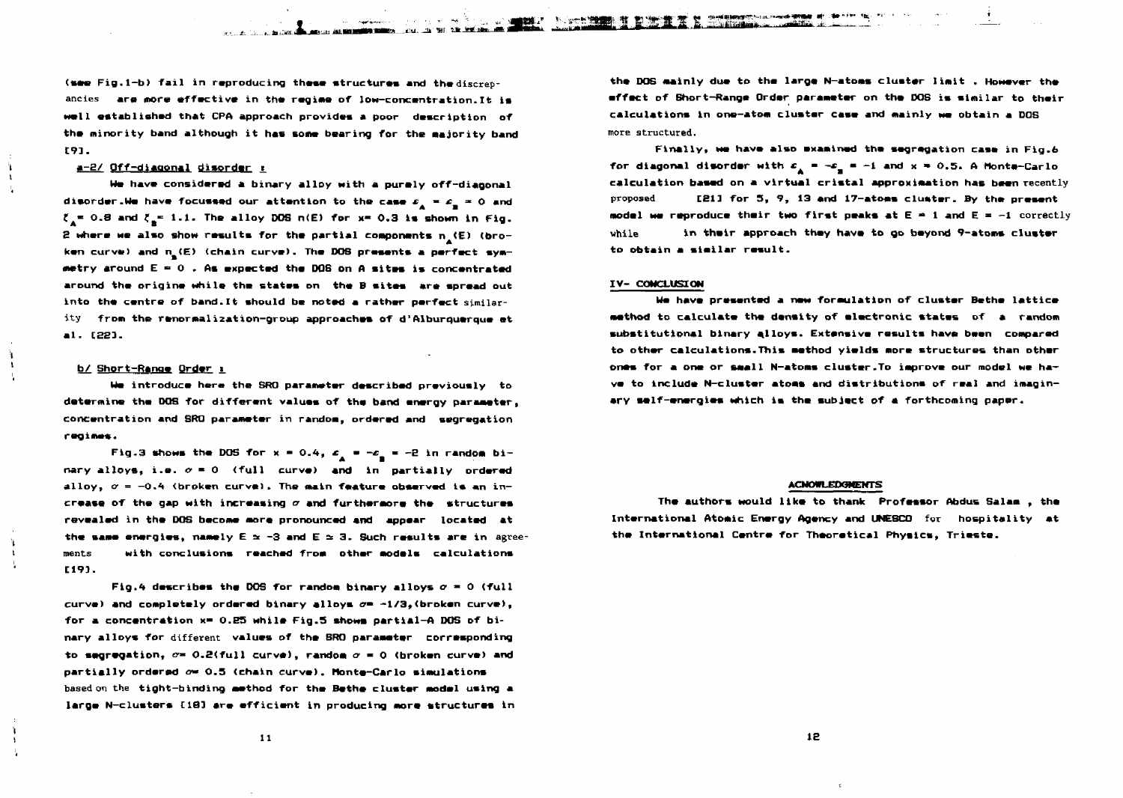(see Fig.1-b) fail in reproducing these structures and the discrep**ancies are more effective in the regime of low-concentration.It is wall established that CPA approach provides a poor description of** the minority band although it has some bearing for the majority band **191.**

<u> 1999 - An Class Communication and Mari</u>

#### **a-E/ Off-diagonal disorder t\_**

**Ma hava considered a binary alloy with a puraly off-diagonal disorder.We have focussed our attention to the case**  $\varepsilon_x = \varepsilon_y = 0$  **and**  $\zeta_{\mathbf{A}}^* = 0.8$  and  $\zeta_{\mathbf{B}}^* = 1.1$ . The alloy DOS n(E) for x= 0.3 is shown in Fig. **£ where Me also show results for the partial components n (E) (bro**ken curve) and n<sub>a</sub>(E) (chain curve). The DOS presents a perfect sym**metry around E « 0 . As expected tha DOS on A sites is concentrated around tha origine while the states on tha B site\* ara spread out** into the centre of band. It should be noted a rather perfect similar**ity from the renornalization-group approaches of d'ftlburquerque at al. CS23.**

### **b/ Short-Ranoe Order i**

**we introduce here the SRO parameter described previously to determine tha DOS for different values of tha band energy parameter, concentration and SRO parameter in random, ordered and segregation regime\*.**

**Fig.3 shows the DOS for**  $x = 0.4$ **,**  $\epsilon_A = -\epsilon_B = -2$  **in random bi** $nary$  alloys, i.e.  $\sigma = 0$  (full curve) and in partially ordered alloy,  $\sigma = -0.4$  (broken curve). The main feature observed is an in**crease of the gap with increasing a and furthermore the structures revealed in the DOS become more pronounced and appear located at** the same energies, namely  $E \approx -3$  and  $E \approx 3$ . Such results are in agree**ments with conclusions reached from other models calculations [193.**

**Fig.4 describes the DOS for random binary alloys**  $\alpha = 0$  (full  $curve$ ) and completely ordered binary alloys  $\sigma$ =  $-1/3$ . (broken curve). for a concentration x= 0.25 while Fig.5 shows partial-A DOS of bi**nary alloys for different values of the BRO parameter corresponding** to segregation,  $\sigma = 0.2$ (full curve), random  $\sigma = 0$  (broken curve) and partially ordered  $o=0.5$  (chain curve). Monte-Carlo simulations **based on the tight-binding method for the Bethe cluster modal using a large N-clusters tl9J are efficient in producing more structures in**

**the DOS mainly due to the large N-atoms cluster limit . However the effect of Short-Range Order parameter on the DOS is similar to their calculations in one-atom cluster case and mainly we obtain a DOS more structured.**

**Finally, we have also examined the segregation case in Fig.6 for diagonal disorder with**  $c_{\mu} = -c_{\mu} = -1$  **and**  $x = 0.5$ **. A Monte-Carlo calculation based on a virtual crlstal approximation has been recently proposed [21] for S, ?, 13 and 17-atoms cluster. By tha present model wa reproduce their two first peaks at E = 1 and E = -1 correctly while in their approach they have to go beyond 9-atoms cluster to obtain a similar result.**

#### **IV- COWCLUStOW**

**Me have presented a new formulation of cluster Bethe lattice method to calculate the density of electronic states of a random substitutional binary a.lloys. Extensive results have been compared to other calculations.This method yields more structures than other ones for a one or small N-atoms cluster.To improve our modal we have to include N—cluster atoms and distributions of real and imaginary self-energies which is the subject of a forthcoming paper.**

### **ACNOWLEDGNIENTS**

**The authors would like to thank Professor Abdus Salaa , tha International Atomic Energy Agency and UNESCO for hospitality at tha International Centre for Theoretical Physics, Trieste.**

**11**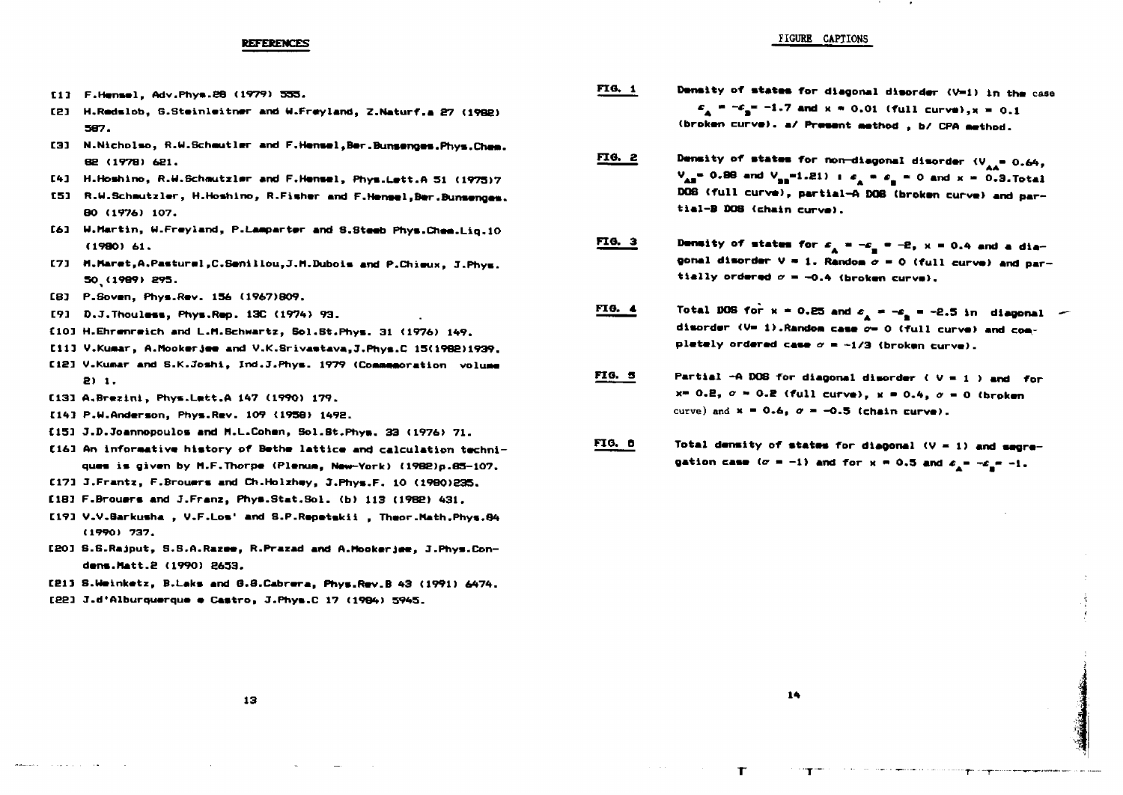### **REFERENCES**

- **F.Hensel, Adv.Phys.88 (1979) 333.**
- **[HI H.RedslDb, G.Steinleitner and U.Freyland, Z.Naturf.a 87 (1988) 387.**
- **[33 N.Nicholso, R.U.Scheutler and F.Hensel,Ber.Bunsenges.Phys.Che\*. 88 (1978) 681.**
- **[4] H.Hoshlno, R.U.Schnutzler and F.Hensel, Phys.Lett.A 31 (1973)7**
- **R.W.Schautzlsr, H.Hoshino, R.Fisher and F.Hensel,Ber.Bunsenges. 80 (1976) 1O7.**
- **[6] U.Martin, U.Freyland, P.Laeparter and S.Steeb Phys.Chee.Liq.10 (1980) 61.**
- **[7] M.Maret,A.Pasturel,C.8enillou,J.M.Dubois and P.Chieux, J.Phys. 50,(1989) 895.**
- **CB3 P.Sovan, Phys.Rev. 156 (1967)809.**
- **[91 D.J.Thouless, Phys.Rep. 13C (1974) 93.**
- **110] H.Ehrenreich and L.M.Bchwartz, Bol.Bt.Phys. 31 (1976) 149.**
- **C113 V.Kuaar, A.Hookerjee and V.K.Srivastava.J.Phya.C 13(1988)1939.**
- **C1E3 v.Kumar and S.K.Joshi, Inti.J.Phys. 1979 (Coeeeaoration voluaa 8) 1.**
- **C133 A.Brezini, Phys.Lett.A 147 (1990) 179.**
- **[14] P.U.Anderson, Phys.Rev. 1O9 <1958> 1498.**
- **CIS] J.D.Joannopoulos and M.L.Cohen, 3ol.St.Phys. 33 (1976) 71.**
- **C163 An infcreative history of Bethe lattice and calculation techniques is given by M.F.Thorpe (Plenue, New York) (1988)p.85-lO7.**
- **[17] J.Frantz, F.Brouers and Ch.Holzhey, J.Phys.F. 1O (1980)835.**
- **£18] F.Brouers and J.Franz, Phys.Stat.Sol. (b) 113 (19BE) 431.**
- **[19] V.V.Barkusha , V.F.Los' and 8.P.Repetskii , Theor.Math.Phys.84 (199O) 737.**
- **[SO] S.S.Rajput, 5.S.A.Razee, R.Prazad and A.Mookerjee, J.Phys.Condens. Matt. 2 (199O) £633.**
- **[El] S.Uelnketz, B.Laks and Q.S.Cabrera, Phys.Rev.B 43 (1991) 6474.**
- **tBBl J.d'Alburquerque e Castro, J.Phys.C 17 (1984) 3943.**
- **FIG. 1 Density of states for diagonal disorder (V-l) in the case**  $E_A = -E_a = -1.7$  and  $K = 0.01$  (full curve),  $x = 0.1$ (broken curve). a/ Present method , b/ CPA method.
- **FIO.** 2 Density of states for non-diagonal disorder (V<sub>AA</sub>= 0.64,  $V_{AB} = 0.88$  and  $V_{BB} = 1.21$ ) **i**  $\varepsilon_A = \varepsilon_B = 0$  and  $x = 0.3$ . Total **DOB (full curve), partial-A DOB (broken curve) and partlal-B DOB (chain curve).**
- **FIG.** 3 Density of states for  $\varepsilon_{\mathbf{A}} = -\varepsilon_{\mathbf{B}} = -\varepsilon$ ,  $\times = 0.4$  and a diagonal disorder  $V = 1$ . Random  $\sigma = 0$  (full curve) and par- $\text{tilally ordered } \sigma = -0.4$  (broken curve).
- **<u>FIG. 4</u> Cotal DOB for**  $x = 0.25$  **and**  $\varepsilon_A = -\varepsilon_B = -2.5$  **in diagonal**  $\sim$ disorder (V= 1).Random case  $\sigma=$  0 (full curve) and completely ordered case  $\alpha = -1/3$  (broken curve).
- **" P ; 3 Partial -A DCS for diagonal disorder ( V 1 ) and for**  $x = 0.8$ ,  $\sigma = 0.8$  (full curve),  $x = 0.4$ ,  $\sigma = 0$  (broken  $curve$ ) and  $X = 0.6$ ,  $\sigma = -0.5$  (chain curve).
- FIG.  $\beta$  **Probability of states for diagonal**  $(V = 1)$  **and secregation case**  $(c = -1)$  and for  $x = 0.5$  and  $\varepsilon_x = -\varepsilon_x = -1$ .

 $\mathbf{r}$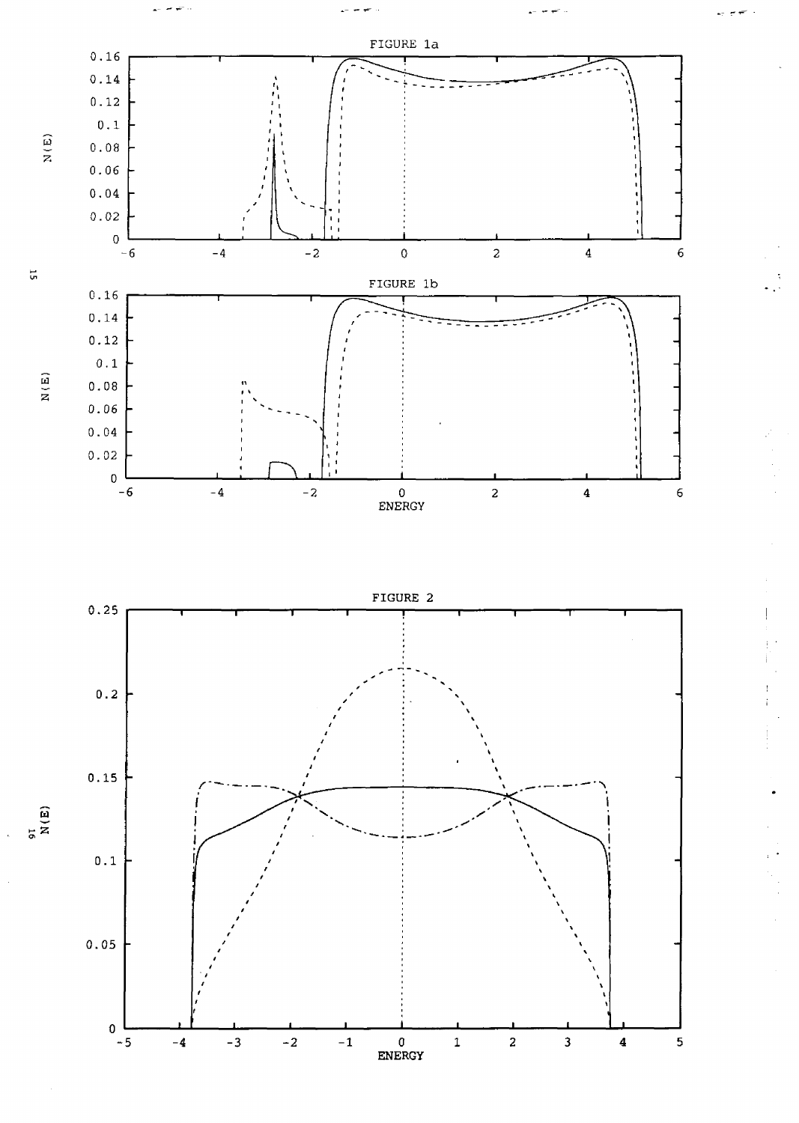

 $\frac{1}{2}$ 



 $\overline{\overline{u}}$ 

**Id 3**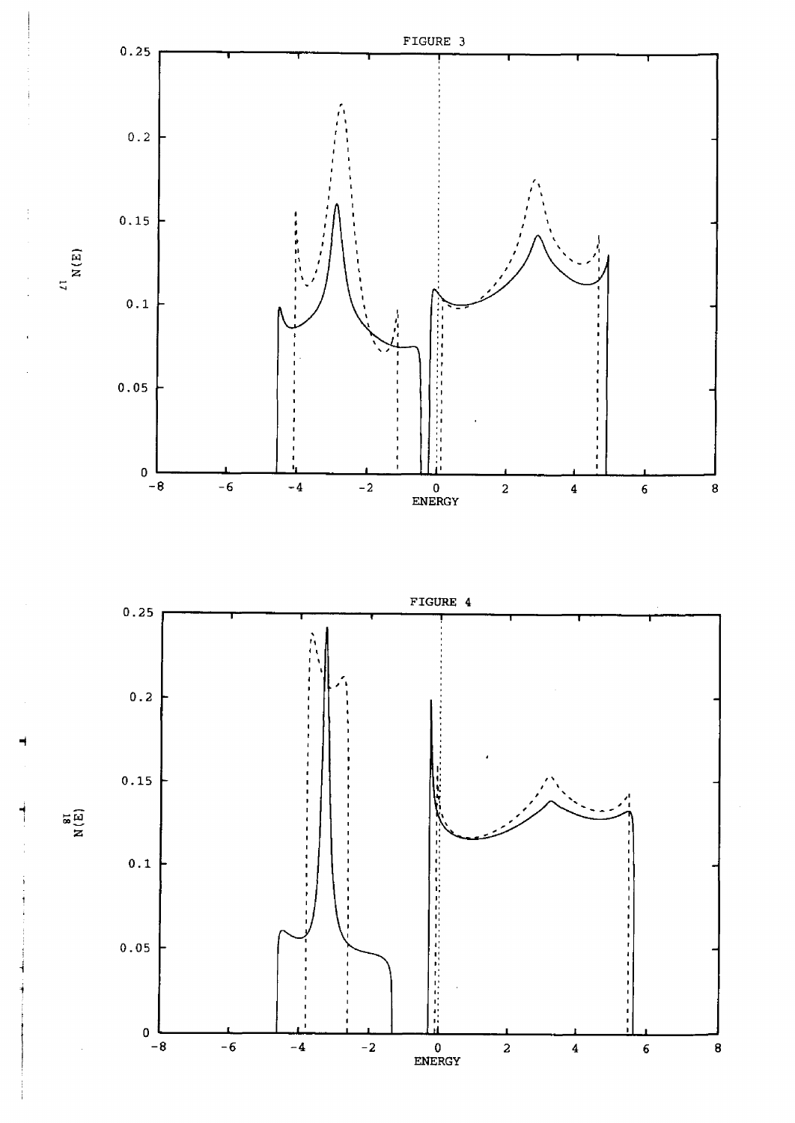